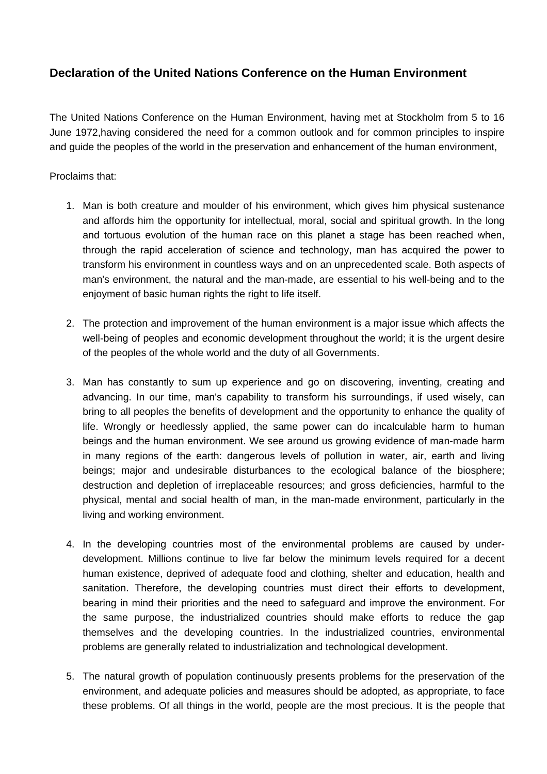# **Declaration of the United Nations Conference on the Human Environment**

The United Nations Conference on the Human Environment, having met at Stockholm from 5 to 16 June 1972,having considered the need for a common outlook and for common principles to inspire and guide the peoples of the world in the preservation and enhancement of the human environment,

# Proclaims that:

- 1. Man is both creature and moulder of his environment, which gives him physical sustenance and affords him the opportunity for intellectual, moral, social and spiritual growth. In the long and tortuous evolution of the human race on this planet a stage has been reached when, through the rapid acceleration of science and technology, man has acquired the power to transform his environment in countless ways and on an unprecedented scale. Both aspects of man's environment, the natural and the man-made, are essential to his well-being and to the enjoyment of basic human rights the right to life itself.
- 2. The protection and improvement of the human environment is a major issue which affects the well-being of peoples and economic development throughout the world; it is the urgent desire of the peoples of the whole world and the duty of all Governments.
- 3. Man has constantly to sum up experience and go on discovering, inventing, creating and advancing. In our time, man's capability to transform his surroundings, if used wisely, can bring to all peoples the benefits of development and the opportunity to enhance the quality of life. Wrongly or heedlessly applied, the same power can do incalculable harm to human beings and the human environment. We see around us growing evidence of man-made harm in many regions of the earth: dangerous levels of pollution in water, air, earth and living beings; major and undesirable disturbances to the ecological balance of the biosphere; destruction and depletion of irreplaceable resources; and gross deficiencies, harmful to the physical, mental and social health of man, in the man-made environment, particularly in the living and working environment.
- 4. In the developing countries most of the environmental problems are caused by underdevelopment. Millions continue to live far below the minimum levels required for a decent human existence, deprived of adequate food and clothing, shelter and education, health and sanitation. Therefore, the developing countries must direct their efforts to development, bearing in mind their priorities and the need to safeguard and improve the environment. For the same purpose, the industrialized countries should make efforts to reduce the gap themselves and the developing countries. In the industrialized countries, environmental problems are generally related to industrialization and technological development.
- 5. The natural growth of population continuously presents problems for the preservation of the environment, and adequate policies and measures should be adopted, as appropriate, to face these problems. Of all things in the world, people are the most precious. It is the people that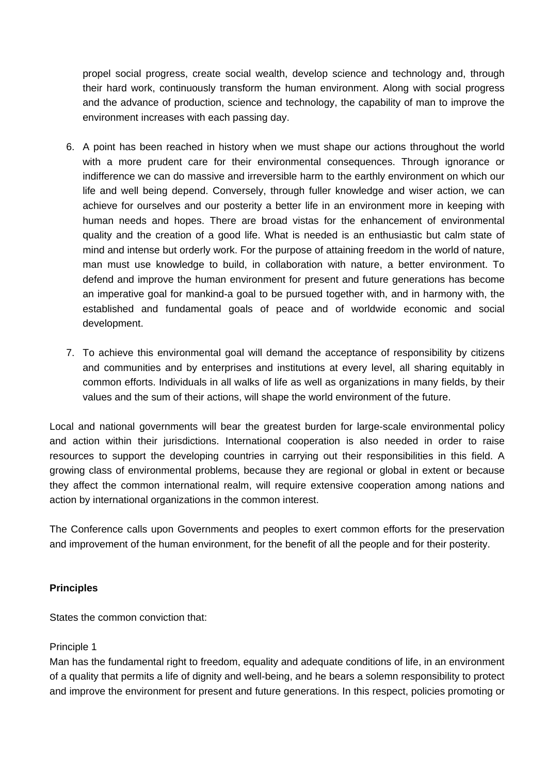propel social progress, create social wealth, develop science and technology and, through their hard work, continuously transform the human environment. Along with social progress and the advance of production, science and technology, the capability of man to improve the environment increases with each passing day.

- 6. A point has been reached in history when we must shape our actions throughout the world with a more prudent care for their environmental consequences. Through ignorance or indifference we can do massive and irreversible harm to the earthly environment on which our life and well being depend. Conversely, through fuller knowledge and wiser action, we can achieve for ourselves and our posterity a better life in an environment more in keeping with human needs and hopes. There are broad vistas for the enhancement of environmental quality and the creation of a good life. What is needed is an enthusiastic but calm state of mind and intense but orderly work. For the purpose of attaining freedom in the world of nature, man must use knowledge to build, in collaboration with nature, a better environment. To defend and improve the human environment for present and future generations has become an imperative goal for mankind-a goal to be pursued together with, and in harmony with, the established and fundamental goals of peace and of worldwide economic and social development.
- 7. To achieve this environmental goal will demand the acceptance of responsibility by citizens and communities and by enterprises and institutions at every level, all sharing equitably in common efforts. Individuals in all walks of life as well as organizations in many fields, by their values and the sum of their actions, will shape the world environment of the future.

Local and national governments will bear the greatest burden for large-scale environmental policy and action within their jurisdictions. International cooperation is also needed in order to raise resources to support the developing countries in carrying out their responsibilities in this field. A growing class of environmental problems, because they are regional or global in extent or because they affect the common international realm, will require extensive cooperation among nations and action by international organizations in the common interest.

The Conference calls upon Governments and peoples to exert common efforts for the preservation and improvement of the human environment, for the benefit of all the people and for their posterity.

### **Principles**

States the common conviction that:

### Principle 1

Man has the fundamental right to freedom, equality and adequate conditions of life, in an environment of a quality that permits a life of dignity and well-being, and he bears a solemn responsibility to protect and improve the environment for present and future generations. In this respect, policies promoting or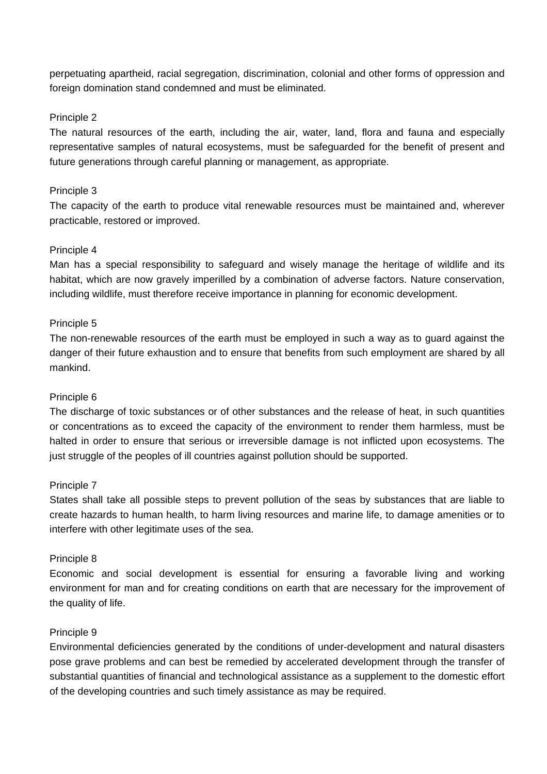perpetuating apartheid, racial segregation, discrimination, colonial and other forms of oppression and foreign domination stand condemned and must be eliminated.

### Principle 2

The natural resources of the earth, including the air, water, land, flora and fauna and especially representative samples of natural ecosystems, must be safeguarded for the benefit of present and future generations through careful planning or management, as appropriate.

### Principle 3

The capacity of the earth to produce vital renewable resources must be maintained and, wherever practicable, restored or improved.

### Principle 4

Man has a special responsibility to safeguard and wisely manage the heritage of wildlife and its habitat, which are now gravely imperilled by a combination of adverse factors. Nature conservation, including wildlife, must therefore receive importance in planning for economic development.

### Principle 5

The non-renewable resources of the earth must be employed in such a way as to guard against the danger of their future exhaustion and to ensure that benefits from such employment are shared by all mankind.

### Principle 6

The discharge of toxic substances or of other substances and the release of heat, in such quantities or concentrations as to exceed the capacity of the environment to render them harmless, must be halted in order to ensure that serious or irreversible damage is not inflicted upon ecosystems. The just struggle of the peoples of ill countries against pollution should be supported.

### Principle 7

States shall take all possible steps to prevent pollution of the seas by substances that are liable to create hazards to human health, to harm living resources and marine life, to damage amenities or to interfere with other legitimate uses of the sea.

### Principle 8

Economic and social development is essential for ensuring a favorable living and working environment for man and for creating conditions on earth that are necessary for the improvement of the quality of life.

### Principle 9

Environmental deficiencies generated by the conditions of under-development and natural disasters pose grave problems and can best be remedied by accelerated development through the transfer of substantial quantities of financial and technological assistance as a supplement to the domestic effort of the developing countries and such timely assistance as may be required.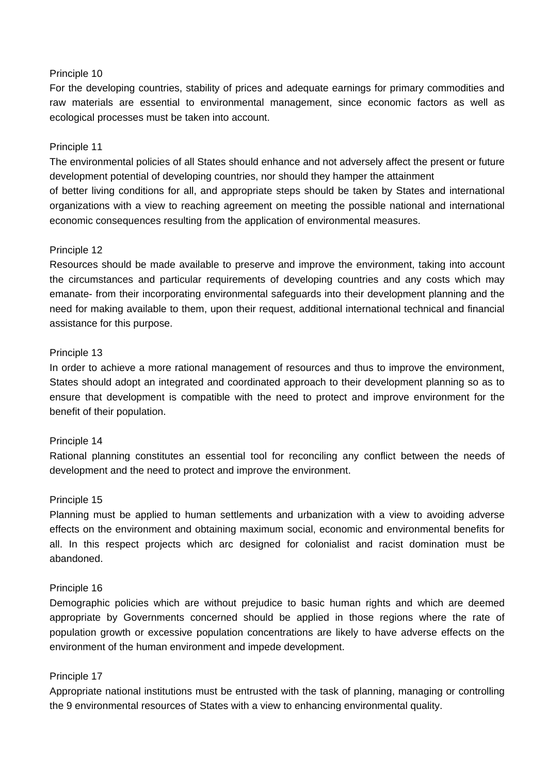### Principle 10

For the developing countries, stability of prices and adequate earnings for primary commodities and raw materials are essential to environmental management, since economic factors as well as ecological processes must be taken into account.

### Principle 11

The environmental policies of all States should enhance and not adversely affect the present or future development potential of developing countries, nor should they hamper the attainment of better living conditions for all, and appropriate steps should be taken by States and international organizations with a view to reaching agreement on meeting the possible national and international economic consequences resulting from the application of environmental measures.

### Principle 12

Resources should be made available to preserve and improve the environment, taking into account the circumstances and particular requirements of developing countries and any costs which may emanate- from their incorporating environmental safeguards into their development planning and the need for making available to them, upon their request, additional international technical and financial assistance for this purpose.

### Principle 13

In order to achieve a more rational management of resources and thus to improve the environment, States should adopt an integrated and coordinated approach to their development planning so as to ensure that development is compatible with the need to protect and improve environment for the benefit of their population.

### Principle 14

Rational planning constitutes an essential tool for reconciling any conflict between the needs of development and the need to protect and improve the environment.

### Principle 15

Planning must be applied to human settlements and urbanization with a view to avoiding adverse effects on the environment and obtaining maximum social, economic and environmental benefits for all. In this respect projects which arc designed for colonialist and racist domination must be abandoned.

### Principle 16

Demographic policies which are without prejudice to basic human rights and which are deemed appropriate by Governments concerned should be applied in those regions where the rate of population growth or excessive population concentrations are likely to have adverse effects on the environment of the human environment and impede development.

### Principle 17

Appropriate national institutions must be entrusted with the task of planning, managing or controlling the 9 environmental resources of States with a view to enhancing environmental quality.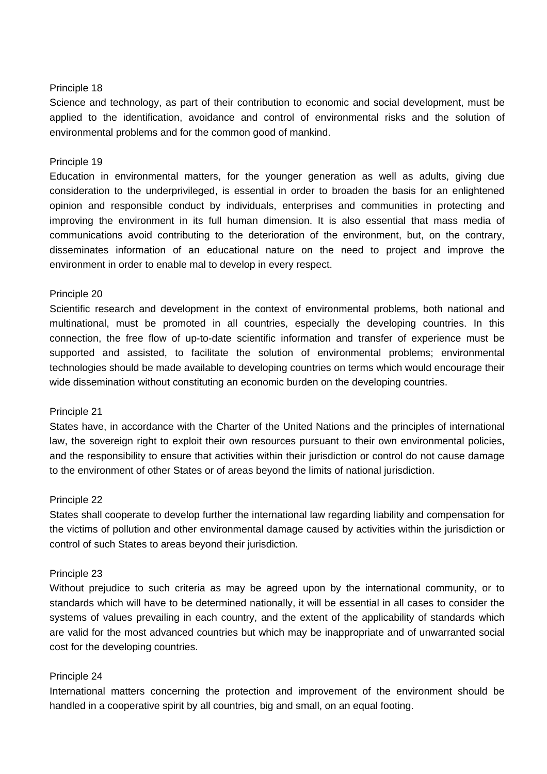### Principle 18

Science and technology, as part of their contribution to economic and social development, must be applied to the identification, avoidance and control of environmental risks and the solution of environmental problems and for the common good of mankind.

### Principle 19

Education in environmental matters, for the younger generation as well as adults, giving due consideration to the underprivileged, is essential in order to broaden the basis for an enlightened opinion and responsible conduct by individuals, enterprises and communities in protecting and improving the environment in its full human dimension. It is also essential that mass media of communications avoid contributing to the deterioration of the environment, but, on the contrary, disseminates information of an educational nature on the need to project and improve the environment in order to enable mal to develop in every respect.

### Principle 20

Scientific research and development in the context of environmental problems, both national and multinational, must be promoted in all countries, especially the developing countries. In this connection, the free flow of up-to-date scientific information and transfer of experience must be supported and assisted, to facilitate the solution of environmental problems; environmental technologies should be made available to developing countries on terms which would encourage their wide dissemination without constituting an economic burden on the developing countries.

### Principle 21

States have, in accordance with the Charter of the United Nations and the principles of international law, the sovereign right to exploit their own resources pursuant to their own environmental policies, and the responsibility to ensure that activities within their jurisdiction or control do not cause damage to the environment of other States or of areas beyond the limits of national jurisdiction.

### Principle 22

States shall cooperate to develop further the international law regarding liability and compensation for the victims of pollution and other environmental damage caused by activities within the jurisdiction or control of such States to areas beyond their jurisdiction.

### Principle 23

Without prejudice to such criteria as may be agreed upon by the international community, or to standards which will have to be determined nationally, it will be essential in all cases to consider the systems of values prevailing in each country, and the extent of the applicability of standards which are valid for the most advanced countries but which may be inappropriate and of unwarranted social cost for the developing countries.

### Principle 24

International matters concerning the protection and improvement of the environment should be handled in a cooperative spirit by all countries, big and small, on an equal footing.